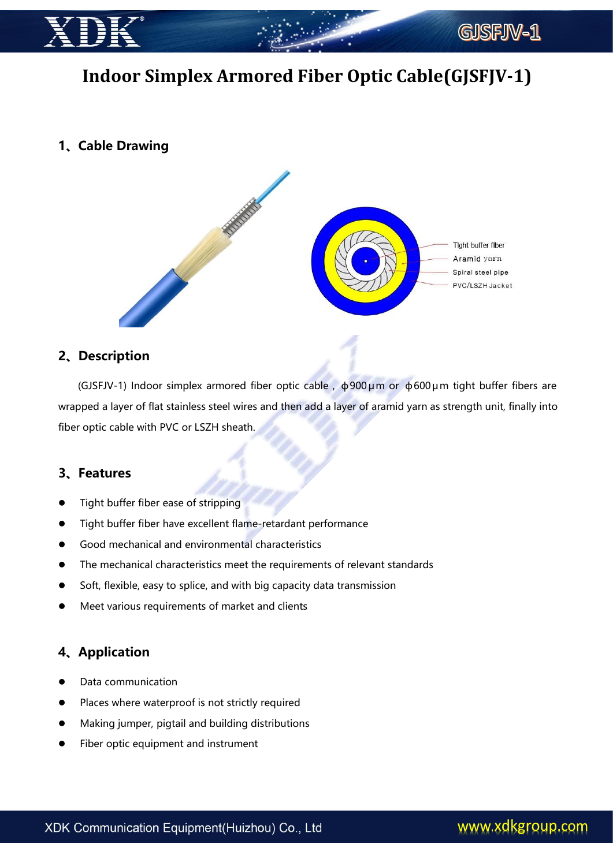

# **Indoor Simplex Armored Fiber Optic Cable(GJSFJV-1)**

# **1、Cable Drawing**



### **2、Description**

(GJSFJV-1) Indoor simplex armored fiber optic cable , ф900μm or ф600μm tight buffer fibers are wrapped a layer of flat stainless steel wires and then add a layer of aramid yarn as strength unit, finally into fiber optic cable with PVC or LSZH sheath.

#### **3、Features**

- Tight buffer fiber ease of stripping
- Tight buffer fiber have excellent flame-retardant performance
- Good mechanical and environmental characteristics
- The mechanical characteristics meet the requirements of relevant standards
- Soft, flexible, easy to splice, and with big capacity data transmission
- Meet various requirements of market and clients

## **4、Application**

- Data communication
- Places where waterproof is not strictly required
- Making jumper, pigtail and building distributions
- Fiber optic equipment and instrument

# www.xdkgroup.com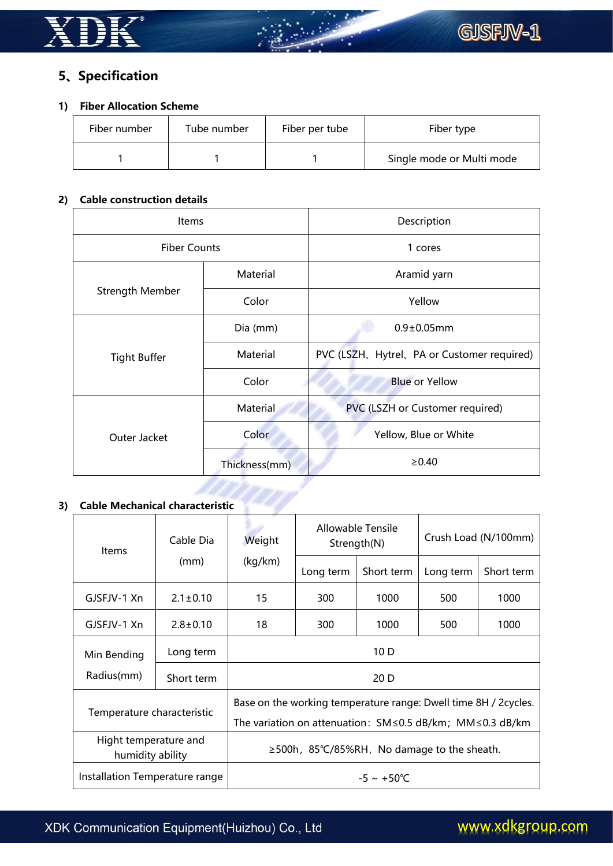

# **5、Specification**

#### **1) Fiber Allocation Scheme**

| Fiber number | Tube number | Fiber per tube | Fiber type                |
|--------------|-------------|----------------|---------------------------|
|              |             |                | Single mode or Multi mode |

#### **2) Cable construction details**

| Items                  |               | Description                               |  |  |  |
|------------------------|---------------|-------------------------------------------|--|--|--|
| <b>Fiber Counts</b>    |               | 1 cores                                   |  |  |  |
| <b>Strength Member</b> | Material      | Aramid yarn                               |  |  |  |
|                        | Color         | Yellow                                    |  |  |  |
| <b>Tight Buffer</b>    | Dia (mm)      | $0.9 \pm 0.05$ mm                         |  |  |  |
|                        | Material      | PVC (LSZH、Hytrel、PA or Customer required) |  |  |  |
|                        | Color         | <b>Blue or Yellow</b>                     |  |  |  |
|                        | Material      | PVC (LSZH or Customer required)           |  |  |  |
| Outer Jacket           | Color         | Yellow, Blue or White                     |  |  |  |
|                        | Thickness(mm) | $\geq 0.40$                               |  |  |  |

# **3) Cable Mechanical characteristic**

| Items                                     | Cable Dia<br>(mm) | Weight<br>(kg/km)                                                      | Allowable Tensile<br>Strength(N) |            | Crush Load (N/100mm) |            |
|-------------------------------------------|-------------------|------------------------------------------------------------------------|----------------------------------|------------|----------------------|------------|
|                                           |                   |                                                                        | Long term                        | Short term | Long term            | Short term |
| GJSFJV-1 Xn                               | $2.1 \pm 0.10$    | 15                                                                     | 300                              | 1000       | 500                  | 1000       |
| GJSFJV-1 Xn                               | $2.8 \pm 0.10$    | 18                                                                     | 300                              | 1000       | 500                  | 1000       |
| Min Bending                               | Long term         | 10 D                                                                   |                                  |            |                      |            |
| Radius(mm)                                | Short term        | 20 D                                                                   |                                  |            |                      |            |
| Temperature characteristic                |                   | Base on the working temperature range: Dwell time 8H / 2cycles.        |                                  |            |                      |            |
|                                           |                   | The variation on attenuation: $SM \leq 0.5$ dB/km; MM $\leq 0.3$ dB/km |                                  |            |                      |            |
| Hight temperature and<br>humidity ability |                   | ≥500h, 85°C/85%RH, No damage to the sheath.                            |                                  |            |                      |            |
| Installation Temperature range            |                   | $-5 \sim +50^{\circ}C$                                                 |                                  |            |                      |            |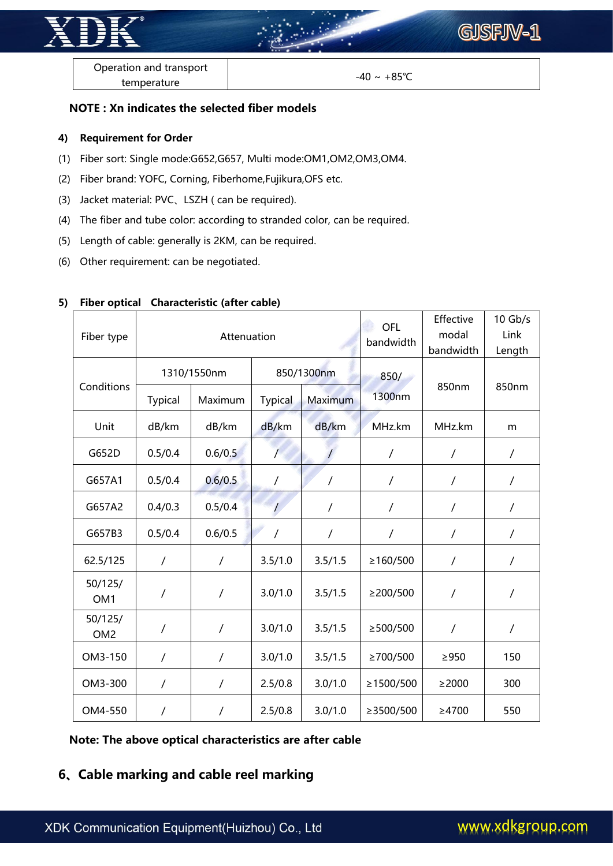

Operation and transport temperature

 $-40 \sim +85$ °C

#### **NOTE : Xn indicates the selected fiber models**

#### **4) Requirement for Order**

- (1) Fiber sort: Single mode:G652,G657, Multi mode:OM1,OM2,OM3,OM4.
- (2) Fiber brand: YOFC, Corning, Fiberhome,Fujikura,OFS etc.
- (3) Jacket material: PVC、LSZH ( can be required).
- (4) The fiber and tube color: according to stranded color, can be required.
- (5) Length of cable: generally is 2KM, can be required.
- (6) Other requirement: can be negotiated.

| Fiber type                 | Attenuation    |                |                |                | OFL<br>bandwidth | Effective<br>modal<br>bandwidth | $10$ Gb/s<br>Link<br>Length |  |
|----------------------------|----------------|----------------|----------------|----------------|------------------|---------------------------------|-----------------------------|--|
|                            |                | 1310/1550nm    |                | 850/1300nm     |                  |                                 |                             |  |
| Conditions                 | <b>Typical</b> | Maximum        | <b>Typical</b> | <b>Maximum</b> | 1300nm           | 850nm                           | 850nm                       |  |
| Unit                       | dB/km          | dB/km          | dB/km          | dB/km          | MHz.km           | MHz.km                          | m                           |  |
| G652D                      | 0.5/0.4        | 0.6/0.5        | $\prime$       |                | $\sqrt{2}$       | $\sqrt{2}$                      | $\overline{1}$              |  |
| G657A1                     | 0.5/0.4        | 0.6/0.5        | $\overline{1}$ | $\sqrt{2}$     | $\sqrt{2}$       | $\overline{1}$                  | $\overline{1}$              |  |
| G657A2                     | 0.4/0.3        | 0.5/0.4        | $\prime$       | $\overline{1}$ | T                | $\overline{1}$                  | $\overline{1}$              |  |
| G657B3                     | 0.5/0.4        | 0.6/0.5        | $\overline{1}$ | $\sqrt{2}$     | $\overline{1}$   | $\overline{1}$                  | $\overline{1}$              |  |
| 62.5/125                   | $\sqrt{2}$     | $\sqrt{2}$     | 3.5/1.0        | 3.5/1.5        | ≥160/500         | $\overline{1}$                  | $\overline{1}$              |  |
| 50/125/<br>OM <sub>1</sub> | $\prime$       | $\overline{1}$ | 3.0/1.0        | 3.5/1.5        | $\geq$ 200/500   | $\overline{1}$                  | $\overline{1}$              |  |
| 50/125/<br>OM <sub>2</sub> | $\overline{1}$ | $\sqrt{2}$     | 3.0/1.0        | 3.5/1.5        | $\geq$ 500/500   | $\overline{1}$                  | $\overline{1}$              |  |
| OM3-150                    | $\overline{1}$ | $\sqrt{2}$     | 3.0/1.0        | 3.5/1.5        | ≥700/500         | $\geq$ 950                      | 150                         |  |
| OM3-300                    | $\prime$       | $\sqrt{2}$     | 2.5/0.8        | 3.0/1.0        | ≥1500/500        | $\geq$ 2000                     | 300                         |  |
| OM4-550                    | $\overline{1}$ | $\sqrt{2}$     | 2.5/0.8        | 3.0/1.0        | $\geq$ 3500/500  | $\geq$ 4700                     | 550                         |  |

#### **5) Fiber optical Characteristic (after cable)**

**Note: The above optical characteristics are after cable**

# **6、Cable marking and cable reel marking**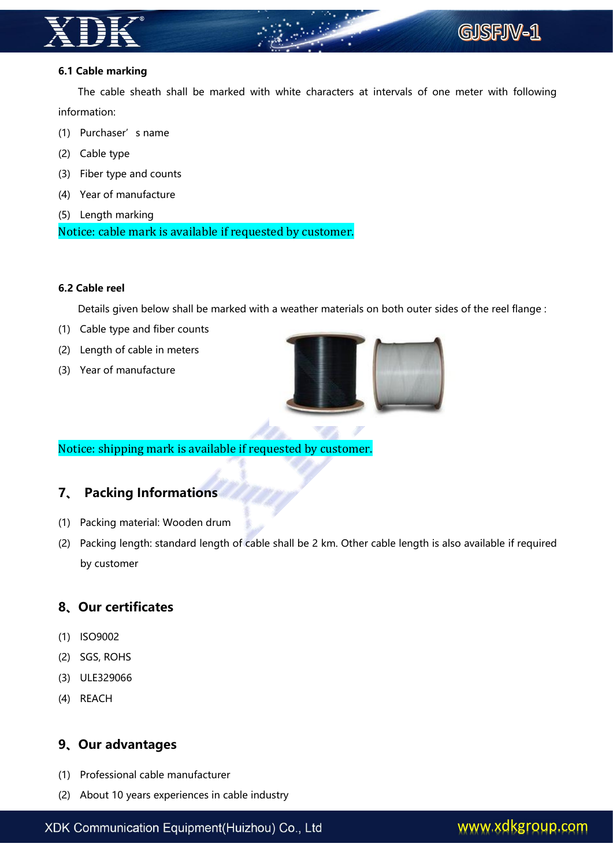

#### **6.1 Cable marking**

The cable sheath shall be marked with white characters at intervals of one meter with following information:

- (1) Purchaser's name
- (2) Cable type
- (3) Fiber type and counts
- (4) Year of manufacture
- (5) Length marking

Notice: cable mark is available if requested by customer.

#### **6.2 Cable reel**

Details given below shall be marked with a weather materials on both outer sides of the reel flange :

- (1) Cable type and fiber counts
- (2) Length of cable in meters
- (3) Year of manufacture



Notice: shipping mark is available if requested by customer.

## **7、 Packing Informations**

- (1) Packing material: Wooden drum
- (2) Packing length: standard length of cable shall be 2 km. Other cable length is also available if required by customer

## **8、Our certificates**

- (1) ISO9002
- (2) SGS, ROHS
- (3) ULE329066
- (4) REACH

#### **9、Our advantages**

- (1) Professional cable manufacturer
- (2) About 10 years experiences in cable industry